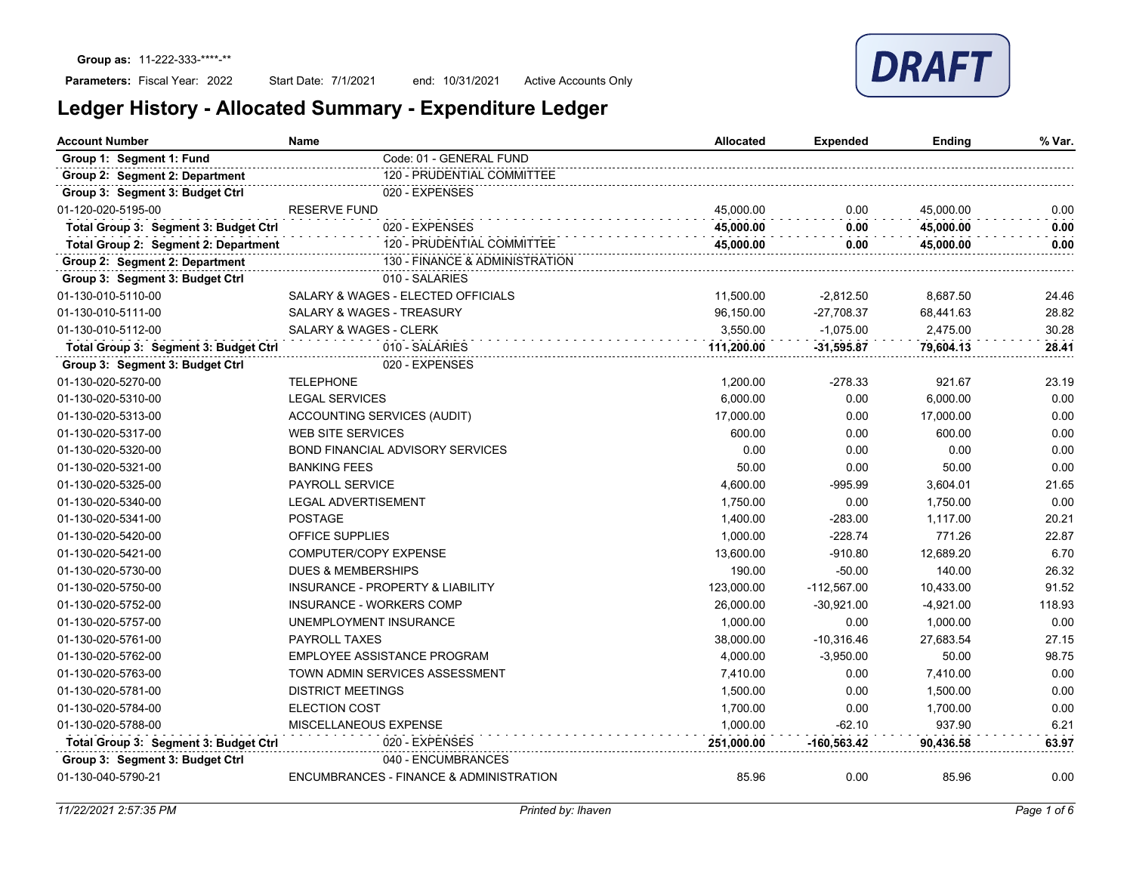### Parameters: Fiscal Year: 2022

Start Date: 7/1/2021 end: 10/31/2021 Active Accounts Only

| <b>Account Number</b>                 | Name                                        | <b>Allocated</b> | Expended      | Ending      | % Var. |
|---------------------------------------|---------------------------------------------|------------------|---------------|-------------|--------|
| Group 1: Segment 1: Fund              | Code: 01 - GENERAL FUND                     |                  |               |             |        |
| Group 2: Segment 2: Department        | 120 - PRUDENTIAL COMMITTEE                  |                  |               |             |        |
| Group 3: Segment 3: Budget Ctrl       | 020 - EXPENSES                              |                  |               |             |        |
| 01-120-020-5195-00                    | <b>RESERVE FUND</b>                         | 45,000.00        | 0.00          | 45,000.00   | 0.00   |
| Total Group 3: Segment 3: Budget Ctrl | 020 - EXPENSES                              | 45.000.00        | 0.00          | 45,000.00   | 0.00   |
| Total Group 2: Segment 2: Department  | 120 - PRUDENTIAL COMMITTEE                  | 45,000.00        | 0.00          | 45,000.00   | 0.00   |
| Group 2: Segment 2: Department        | 130 - FINANCE & ADMINISTRATION              |                  |               |             |        |
| Group 3: Segment 3: Budget Ctrl       | 010 - SALARIES                              |                  |               |             |        |
| 01-130-010-5110-00                    | SALARY & WAGES - ELECTED OFFICIALS          | 11,500.00        | $-2,812.50$   | 8,687.50    | 24.46  |
| 01-130-010-5111-00                    | SALARY & WAGES - TREASURY                   | 96.150.00        | $-27.708.37$  | 68,441.63   | 28.82  |
| 01-130-010-5112-00                    | <b>SALARY &amp; WAGES - CLERK</b>           | 3,550.00         | $-1,075.00$   | 2,475.00    | 30.28  |
| Total Group 3: Segment 3: Budget Ctrl | 010 - SALARIES                              | 111,200.00       | $-31,595.87$  | 79.604.13   | 28.41  |
| Group 3: Segment 3: Budget Ctrl       | 020 - EXPENSES                              |                  |               |             |        |
| 01-130-020-5270-00                    | <b>TELEPHONE</b>                            | 1,200.00         | $-278.33$     | 921.67      | 23.19  |
| 01-130-020-5310-00                    | <b>LEGAL SERVICES</b>                       | 6,000.00         | 0.00          | 6,000.00    | 0.00   |
| 01-130-020-5313-00                    | ACCOUNTING SERVICES (AUDIT)                 | 17,000.00        | 0.00          | 17,000.00   | 0.00   |
| 01-130-020-5317-00                    | <b>WEB SITE SERVICES</b>                    | 600.00           | 0.00          | 600.00      | 0.00   |
| 01-130-020-5320-00                    | <b>BOND FINANCIAL ADVISORY SERVICES</b>     | 0.00             | 0.00          | 0.00        | 0.00   |
| 01-130-020-5321-00                    | <b>BANKING FEES</b>                         | 50.00            | 0.00          | 50.00       | 0.00   |
| 01-130-020-5325-00                    | <b>PAYROLL SERVICE</b>                      | 4,600.00         | $-995.99$     | 3,604.01    | 21.65  |
| 01-130-020-5340-00                    | <b>LEGAL ADVERTISEMENT</b>                  | 1,750.00         | 0.00          | 1,750.00    | 0.00   |
| 01-130-020-5341-00                    | <b>POSTAGE</b>                              | 1,400.00         | $-283.00$     | 1,117.00    | 20.21  |
| 01-130-020-5420-00                    | <b>OFFICE SUPPLIES</b>                      | 1,000.00         | $-228.74$     | 771.26      | 22.87  |
| 01-130-020-5421-00                    | COMPUTER/COPY EXPENSE                       | 13,600.00        | $-910.80$     | 12,689.20   | 6.70   |
| 01-130-020-5730-00                    | <b>DUES &amp; MEMBERSHIPS</b>               | 190.00           | $-50.00$      | 140.00      | 26.32  |
| 01-130-020-5750-00                    | <b>INSURANCE - PROPERTY &amp; LIABILITY</b> | 123,000.00       | $-112,567.00$ | 10,433.00   | 91.52  |
| 01-130-020-5752-00                    | INSURANCE - WORKERS COMP                    | 26,000.00        | $-30,921.00$  | $-4,921.00$ | 118.93 |
| 01-130-020-5757-00                    | UNEMPLOYMENT INSURANCE                      | 1,000.00         | 0.00          | 1,000.00    | 0.00   |
| 01-130-020-5761-00                    | <b>PAYROLL TAXES</b>                        | 38,000.00        | $-10,316.46$  | 27,683.54   | 27.15  |
| 01-130-020-5762-00                    | EMPLOYEE ASSISTANCE PROGRAM                 | 4,000.00         | $-3,950.00$   | 50.00       | 98.75  |
| 01-130-020-5763-00                    | TOWN ADMIN SERVICES ASSESSMENT              | 7,410.00         | 0.00          | 7,410.00    | 0.00   |
| 01-130-020-5781-00                    | <b>DISTRICT MEETINGS</b>                    | 1,500.00         | 0.00          | 1,500.00    | 0.00   |
| 01-130-020-5784-00                    | <b>ELECTION COST</b>                        | 1,700.00         | 0.00          | 1,700.00    | 0.00   |
| 01-130-020-5788-00                    | MISCELLANEOUS EXPENSE                       | 1,000.00         | $-62.10$      | 937.90      | 6.21   |
| Total Group 3: Segment 3: Budget Ctrl | 020 - EXPENSES                              | 251,000.00       | -160,563.42   | 90,436.58   | 63.97  |
| Group 3: Segment 3: Budget Ctrl       | 040 - ENCUMBRANCES                          |                  |               |             |        |
| 01-130-040-5790-21                    | ENCUMBRANCES - FINANCE & ADMINISTRATION     | 85.96            | 0.00          | 85.96       | 0.00   |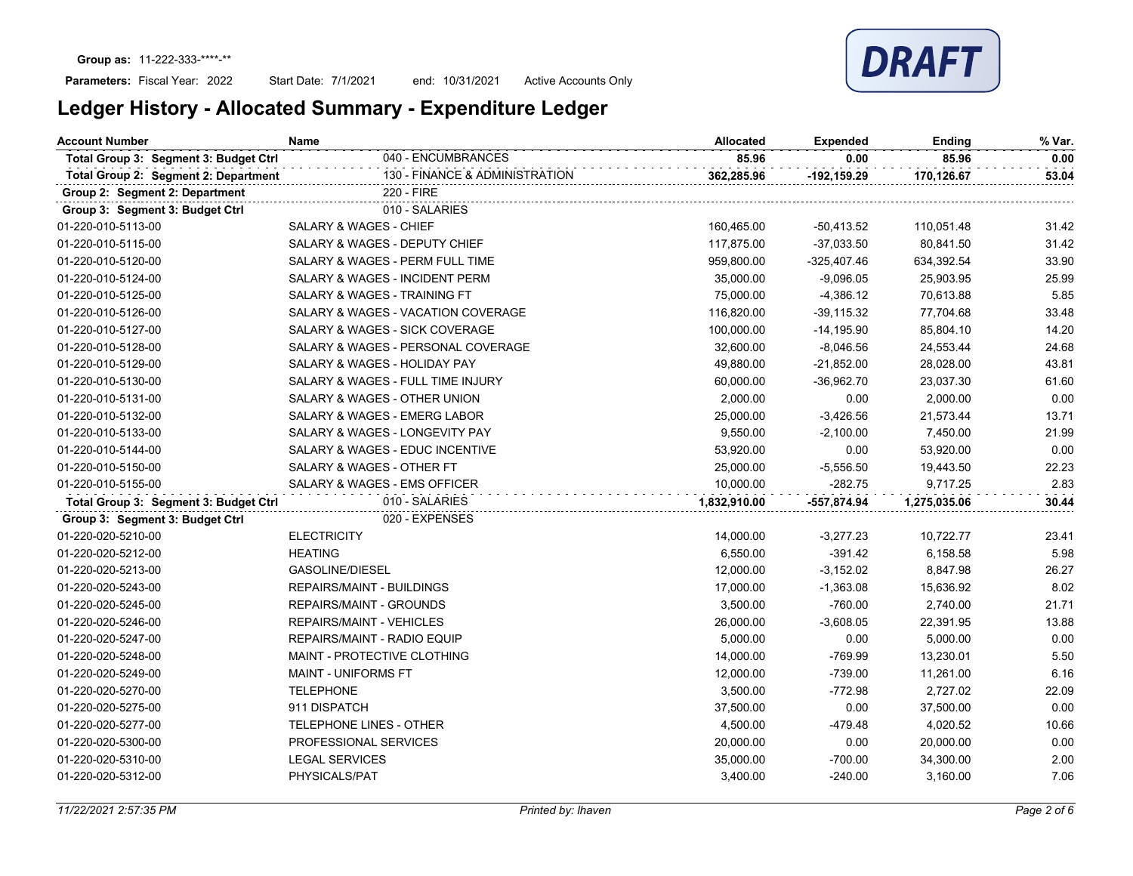Parameters: Fiscal Year: 2022

Start Date: 7/1/2021 end: 10/31/2021 Active Accounts Only

| <b>Account Number</b>                 | <b>Name</b>                               | <b>Allocated</b> | <b>Expended</b> | Ending       | % Var. |
|---------------------------------------|-------------------------------------------|------------------|-----------------|--------------|--------|
| Total Group 3: Segment 3: Budget Ctrl | 040 - ENCUMBRANCES                        | 85.96            | 0.00            | 85.96        | 0.00   |
| Total Group 2: Segment 2: Department  | 130 - FINANCE & ADMINISTRATION            | 362,285.96       | $-192, 159.29$  | 170,126.67   | 53.04  |
| Group 2: Segment 2: Department        | 220 - FIRE                                |                  |                 |              |        |
| Group 3: Segment 3: Budget Ctrl       | 010 - SALARIES                            |                  |                 |              |        |
| 01-220-010-5113-00                    | SALARY & WAGES - CHIEF                    | 160,465.00       | $-50,413.52$    | 110,051.48   | 31.42  |
| 01-220-010-5115-00                    | SALARY & WAGES - DEPUTY CHIEF             | 117,875.00       | $-37,033.50$    | 80,841.50    | 31.42  |
| 01-220-010-5120-00                    | SALARY & WAGES - PERM FULL TIME           | 959,800.00       | $-325,407.46$   | 634,392.54   | 33.90  |
| 01-220-010-5124-00                    | <b>SALARY &amp; WAGES - INCIDENT PERM</b> | 35,000.00        | $-9,096.05$     | 25,903.95    | 25.99  |
| 01-220-010-5125-00                    | SALARY & WAGES - TRAINING FT              | 75,000.00        | $-4,386.12$     | 70,613.88    | 5.85   |
| 01-220-010-5126-00                    | SALARY & WAGES - VACATION COVERAGE        | 116,820.00       | $-39,115.32$    | 77,704.68    | 33.48  |
| 01-220-010-5127-00                    | SALARY & WAGES - SICK COVERAGE            | 100,000.00       | $-14,195.90$    | 85,804.10    | 14.20  |
| 01-220-010-5128-00                    | SALARY & WAGES - PERSONAL COVERAGE        | 32,600.00        | $-8,046.56$     | 24,553.44    | 24.68  |
| 01-220-010-5129-00                    | SALARY & WAGES - HOLIDAY PAY              | 49,880.00        | $-21,852.00$    | 28,028.00    | 43.81  |
| 01-220-010-5130-00                    | SALARY & WAGES - FULL TIME INJURY         | 60,000.00        | $-36,962.70$    | 23,037.30    | 61.60  |
| 01-220-010-5131-00                    | SALARY & WAGES - OTHER UNION              | 2,000.00         | 0.00            | 2,000.00     | 0.00   |
| 01-220-010-5132-00                    | SALARY & WAGES - EMERG LABOR              | 25,000.00        | $-3,426.56$     | 21,573.44    | 13.71  |
| 01-220-010-5133-00                    | SALARY & WAGES - LONGEVITY PAY            | 9,550.00         | $-2,100.00$     | 7,450.00     | 21.99  |
| 01-220-010-5144-00                    | SALARY & WAGES - EDUC INCENTIVE           | 53,920.00        | 0.00            | 53,920.00    | 0.00   |
| 01-220-010-5150-00                    | SALARY & WAGES - OTHER FT                 | 25,000.00        | $-5,556.50$     | 19,443.50    | 22.23  |
| 01-220-010-5155-00                    | SALARY & WAGES - EMS OFFICER              | 10,000.00        | $-282.75$       | 9,717.25     | 2.83   |
| Total Group 3: Segment 3: Budget Ctrl | 010 - SALARIES                            | 1,832,910.00     | $-557,874.94$   | 1,275,035.06 | 30.44  |
| Group 3: Segment 3: Budget Ctrl       | 020 - EXPENSES                            |                  |                 |              |        |
| 01-220-020-5210-00                    | <b>ELECTRICITY</b>                        | 14,000.00        | $-3,277.23$     | 10,722.77    | 23.41  |
| 01-220-020-5212-00                    | <b>HEATING</b>                            | 6,550.00         | $-391.42$       | 6,158.58     | 5.98   |
| 01-220-020-5213-00                    | <b>GASOLINE/DIESEL</b>                    | 12,000.00        | $-3,152.02$     | 8,847.98     | 26.27  |
| 01-220-020-5243-00                    | <b>REPAIRS/MAINT - BUILDINGS</b>          | 17,000.00        | $-1,363.08$     | 15,636.92    | 8.02   |
| 01-220-020-5245-00                    | REPAIRS/MAINT - GROUNDS                   | 3,500.00         | $-760.00$       | 2,740.00     | 21.71  |
| 01-220-020-5246-00                    | <b>REPAIRS/MAINT - VEHICLES</b>           | 26,000.00        | $-3,608.05$     | 22,391.95    | 13.88  |
| 01-220-020-5247-00                    | REPAIRS/MAINT - RADIO EQUIP               | 5,000.00         | 0.00            | 5,000.00     | 0.00   |
| 01-220-020-5248-00                    | MAINT - PROTECTIVE CLOTHING               | 14,000.00        | $-769.99$       | 13,230.01    | 5.50   |
| 01-220-020-5249-00                    | <b>MAINT - UNIFORMS FT</b>                | 12,000.00        | $-739.00$       | 11,261.00    | 6.16   |
| 01-220-020-5270-00                    | <b>TELEPHONE</b>                          | 3,500.00         | $-772.98$       | 2,727.02     | 22.09  |
| 01-220-020-5275-00                    | 911 DISPATCH                              | 37,500.00        | 0.00            | 37,500.00    | 0.00   |
| 01-220-020-5277-00                    | TELEPHONE LINES - OTHER                   | 4,500.00         | $-479.48$       | 4,020.52     | 10.66  |
| 01-220-020-5300-00                    | PROFESSIONAL SERVICES                     | 20,000.00        | 0.00            | 20,000.00    | 0.00   |
| 01-220-020-5310-00                    | <b>LEGAL SERVICES</b>                     | 35,000.00        | $-700.00$       | 34,300.00    | 2.00   |
| 01-220-020-5312-00                    | PHYSICALS/PAT                             | 3,400.00         | $-240.00$       | 3,160.00     | 7.06   |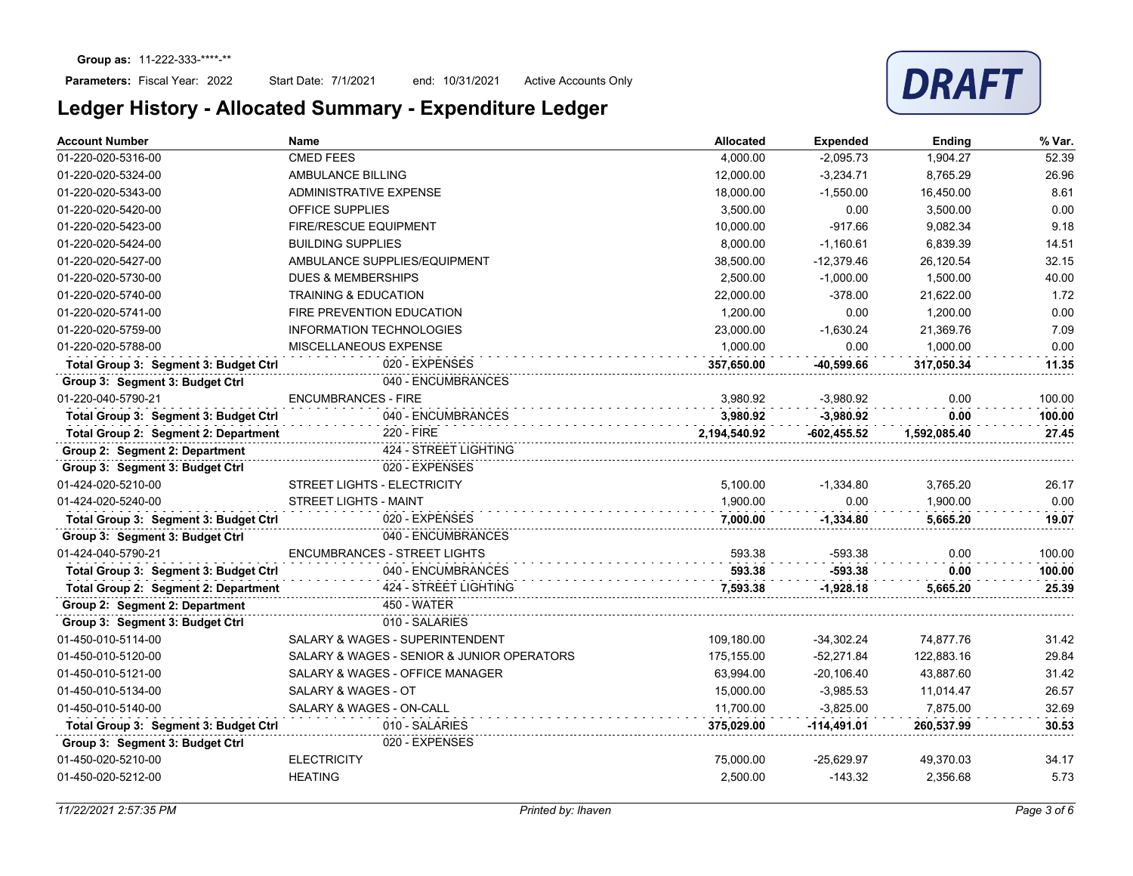Start Date: 7/1/2021 end: 10/31/2021 Active Accounts Only



| <b>Account Number</b>                 | <b>Name</b>                                | <b>Allocated</b> | <b>Expended</b> | Ending       | % Var. |
|---------------------------------------|--------------------------------------------|------------------|-----------------|--------------|--------|
| 01-220-020-5316-00                    | <b>CMED FEES</b>                           | 4,000.00         | $-2,095.73$     | 1,904.27     | 52.39  |
| 01-220-020-5324-00                    | AMBULANCE BILLING                          | 12,000.00        | $-3,234.71$     | 8,765.29     | 26.96  |
| 01-220-020-5343-00                    | ADMINISTRATIVE EXPENSE                     | 18,000.00        | $-1,550.00$     | 16,450.00    | 8.61   |
| 01-220-020-5420-00                    | <b>OFFICE SUPPLIES</b>                     | 3,500.00         | 0.00            | 3,500.00     | 0.00   |
| 01-220-020-5423-00                    | <b>FIRE/RESCUE EQUIPMENT</b>               | 10,000.00        | $-917.66$       | 9,082.34     | 9.18   |
| 01-220-020-5424-00                    | <b>BUILDING SUPPLIES</b>                   | 8,000.00         | $-1,160.61$     | 6,839.39     | 14.51  |
| 01-220-020-5427-00                    | AMBULANCE SUPPLIES/EQUIPMENT               | 38,500.00        | $-12,379.46$    | 26,120.54    | 32.15  |
| 01-220-020-5730-00                    | <b>DUES &amp; MEMBERSHIPS</b>              | 2,500.00         | $-1.000.00$     | 1.500.00     | 40.00  |
| 01-220-020-5740-00                    | <b>TRAINING &amp; EDUCATION</b>            | 22,000.00        | $-378.00$       | 21,622.00    | 1.72   |
| 01-220-020-5741-00                    | FIRE PREVENTION EDUCATION                  | 1,200.00         | 0.00            | 1.200.00     | 0.00   |
| 01-220-020-5759-00                    | <b>INFORMATION TECHNOLOGIES</b>            | 23,000.00        | $-1,630.24$     | 21,369.76    | 7.09   |
| 01-220-020-5788-00                    | MISCELLANEOUS EXPENSE                      | 1,000.00         | 0.00            | 1,000.00     | 0.00   |
| Total Group 3: Segment 3: Budget Ctrl | 020 - EXPENSES                             | 357.650.00       | -40.599.66      | 317.050.34   | 11.35  |
| Group 3: Segment 3: Budget Ctrl       | 040 - ENCUMBRANCES                         |                  |                 |              |        |
| 01-220-040-5790-21                    | <b>ENCUMBRANCES - FIRE</b>                 | 3,980.92         | $-3,980.92$     | 0.00         | 100.00 |
| Total Group 3: Segment 3: Budget Ctrl | 040 - ENCUMBRANCES                         | 3.980.92         | $-3,980.92$     | 0.00         | 100.00 |
| Total Group 2: Segment 2: Department  | 220 - FIRE                                 | 2,194,540.92     | -602,455.52     | 1,592,085.40 | 27.45  |
| Group 2: Segment 2: Department        | 424 - STREET LIGHTING                      |                  |                 |              |        |
| Group 3: Segment 3: Budget Ctrl       | 020 - EXPENSES                             |                  |                 |              |        |
| 01-424-020-5210-00                    | STREET LIGHTS - ELECTRICITY                | 5,100.00         | $-1,334.80$     | 3,765.20     | 26.17  |
| 01-424-020-5240-00                    | <b>STREET LIGHTS - MAINT</b>               | 1,900.00         | 0.00            | 1,900.00     | 0.00   |
| Total Group 3: Segment 3: Budget Ctrl | 020 - EXPENSES                             | 7.000.00         | $-1,334.80$     | 5.665.20     | 19.07  |
| Group 3: Segment 3: Budget Ctrl       | 040 - ENCUMBRANCES                         |                  |                 |              |        |
| 01-424-040-5790-21                    | <b>ENCUMBRANCES - STREET LIGHTS</b>        | 593.38           | -593.38         | 0.00         | 100.00 |
| Total Group 3: Segment 3: Budget Ctrl | 040 - ENCUMBRANCES                         | 593.38           | $-593.38$       | 0.00         | 100.00 |
| Total Group 2: Segment 2: Department  | 424 - STREET LIGHTING                      | 7,593.38         | $-1,928.18$     | 5,665.20     | 25.39  |
| Group 2: Segment 2: Department        | <b>450 - WATER</b>                         |                  |                 |              |        |
| Group 3: Segment 3: Budget Ctrl       | 010 - SALARIES                             |                  |                 |              |        |
| 01-450-010-5114-00                    | SALARY & WAGES - SUPERINTENDENT            | 109,180.00       | $-34,302.24$    | 74,877.76    | 31.42  |
| 01-450-010-5120-00                    | SALARY & WAGES - SENIOR & JUNIOR OPERATORS | 175,155.00       | $-52,271.84$    | 122,883.16   | 29.84  |
| 01-450-010-5121-00                    | SALARY & WAGES - OFFICE MANAGER            | 63,994.00        | $-20,106.40$    | 43,887.60    | 31.42  |
| 01-450-010-5134-00                    | SALARY & WAGES - OT                        | 15,000.00        | $-3,985.53$     | 11,014.47    | 26.57  |
| 01-450-010-5140-00                    | SALARY & WAGES - ON-CALL                   | 11,700.00        | $-3,825.00$     | 7,875.00     | 32.69  |
| Total Group 3: Segment 3: Budget Ctrl | 010 - SALARIES                             | 375,029.00       | $-114,491.01$   | 260,537.99   | 30.53  |
| Group 3: Segment 3: Budget Ctrl       | 020 - EXPENSES                             |                  |                 |              |        |
| 01-450-020-5210-00                    | <b>ELECTRICITY</b>                         | 75,000.00        | $-25,629.97$    | 49,370.03    | 34.17  |
| 01-450-020-5212-00                    | <b>HEATING</b>                             | 2,500.00         | $-143.32$       | 2,356.68     | 5.73   |
|                                       |                                            |                  |                 |              |        |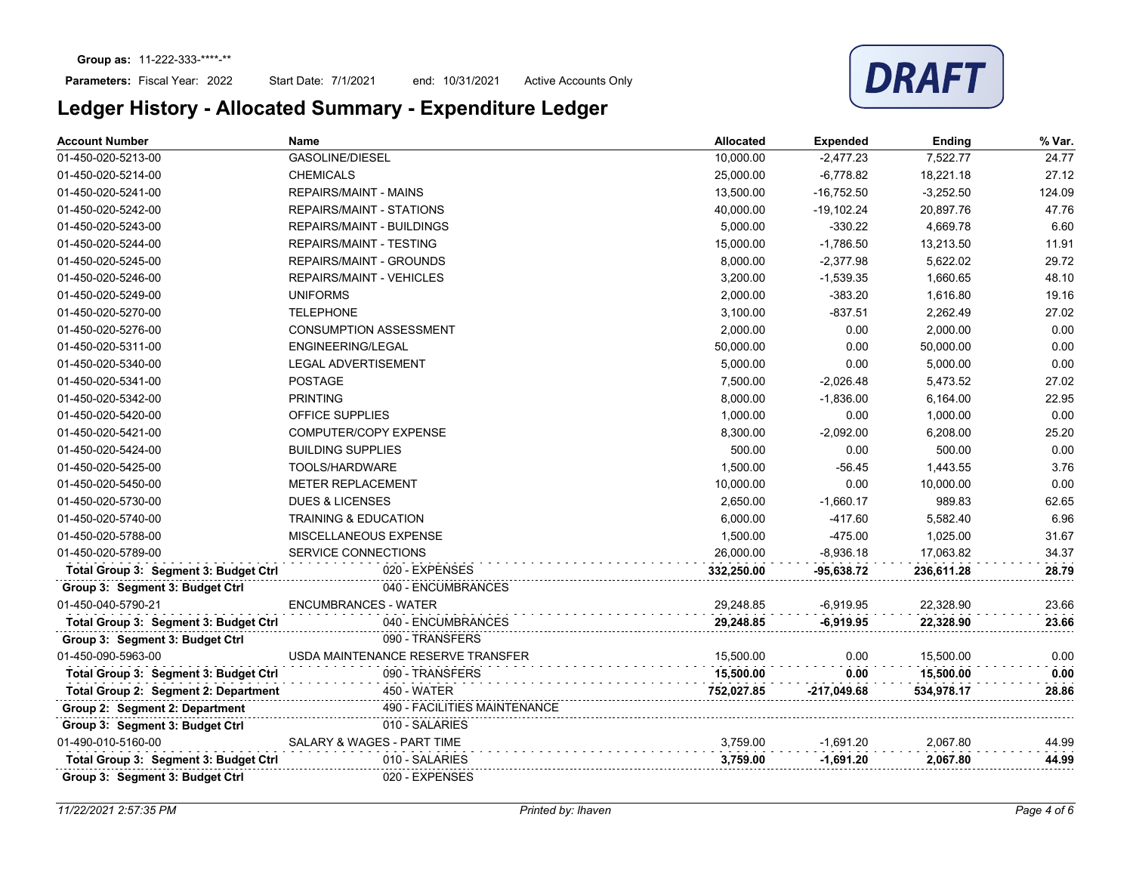Start Date: 7/1/2021 end: 10/31/2021 Active Accounts Only



| <b>Account Number</b>                 | Name                              | <b>Allocated</b> | <b>Expended</b> | Ending      | % Var. |
|---------------------------------------|-----------------------------------|------------------|-----------------|-------------|--------|
| 01-450-020-5213-00                    | <b>GASOLINE/DIESEL</b>            | 10,000.00        | $-2,477.23$     | 7,522.77    | 24.77  |
| 01-450-020-5214-00                    | <b>CHEMICALS</b>                  | 25,000.00        | $-6,778.82$     | 18,221.18   | 27.12  |
| 01-450-020-5241-00                    | <b>REPAIRS/MAINT - MAINS</b>      | 13,500.00        | $-16,752.50$    | $-3,252.50$ | 124.09 |
| 01-450-020-5242-00                    | <b>REPAIRS/MAINT - STATIONS</b>   | 40,000.00        | $-19,102.24$    | 20,897.76   | 47.76  |
| 01-450-020-5243-00                    | <b>REPAIRS/MAINT - BUILDINGS</b>  | 5,000.00         | $-330.22$       | 4,669.78    | 6.60   |
| 01-450-020-5244-00                    | <b>REPAIRS/MAINT - TESTING</b>    | 15,000.00        | $-1,786.50$     | 13,213.50   | 11.91  |
| 01-450-020-5245-00                    | <b>REPAIRS/MAINT - GROUNDS</b>    | 8,000.00         | $-2,377.98$     | 5,622.02    | 29.72  |
| 01-450-020-5246-00                    | <b>REPAIRS/MAINT - VEHICLES</b>   | 3.200.00         | $-1,539.35$     | 1.660.65    | 48.10  |
| 01-450-020-5249-00                    | <b>UNIFORMS</b>                   | 2,000.00         | $-383.20$       | 1,616.80    | 19.16  |
| 01-450-020-5270-00                    | <b>TELEPHONE</b>                  | 3.100.00         | $-837.51$       | 2,262.49    | 27.02  |
| 01-450-020-5276-00                    | <b>CONSUMPTION ASSESSMENT</b>     | 2,000.00         | 0.00            | 2,000.00    | 0.00   |
| 01-450-020-5311-00                    | <b>ENGINEERING/LEGAL</b>          | 50,000.00        | 0.00            | 50,000.00   | 0.00   |
| 01-450-020-5340-00                    | <b>LEGAL ADVERTISEMENT</b>        | 5,000.00         | 0.00            | 5,000.00    | 0.00   |
| 01-450-020-5341-00                    | <b>POSTAGE</b>                    | 7,500.00         | $-2,026.48$     | 5,473.52    | 27.02  |
| 01-450-020-5342-00                    | <b>PRINTING</b>                   | 8,000.00         | $-1,836.00$     | 6,164.00    | 22.95  |
| 01-450-020-5420-00                    | <b>OFFICE SUPPLIES</b>            | 1,000.00         | 0.00            | 1,000.00    | 0.00   |
| 01-450-020-5421-00                    | <b>COMPUTER/COPY EXPENSE</b>      | 8,300.00         | $-2.092.00$     | 6.208.00    | 25.20  |
| 01-450-020-5424-00                    | <b>BUILDING SUPPLIES</b>          | 500.00           | 0.00            | 500.00      | 0.00   |
| 01-450-020-5425-00                    | TOOLS/HARDWARE                    | 1.500.00         | $-56.45$        | 1.443.55    | 3.76   |
| 01-450-020-5450-00                    | <b>METER REPLACEMENT</b>          | 10,000.00        | 0.00            | 10,000.00   | 0.00   |
| 01-450-020-5730-00                    | <b>DUES &amp; LICENSES</b>        | 2,650.00         | $-1,660.17$     | 989.83      | 62.65  |
| 01-450-020-5740-00                    | <b>TRAINING &amp; EDUCATION</b>   | 6,000.00         | $-417.60$       | 5,582.40    | 6.96   |
| 01-450-020-5788-00                    | MISCELLANEOUS EXPENSE             | 1,500.00         | $-475.00$       | 1,025.00    | 31.67  |
| 01-450-020-5789-00                    | SERVICE CONNECTIONS               | 26,000.00        | $-8,936.18$     | 17,063.82   | 34.37  |
| Total Group 3: Segment 3: Budget Ctrl | 020 - EXPENSES                    | 332,250.00       | $-95,638.72$    | 236,611.28  | 28.79  |
| Group 3: Segment 3: Budget Ctrl       | 040 - ENCUMBRANCES                |                  |                 |             |        |
| 01-450-040-5790-21                    | <b>ENCUMBRANCES - WATER</b>       | 29.248.85        | $-6,919.95$     | 22,328.90   | 23.66  |
| Total Group 3: Segment 3: Budget Ctrl | 040 - ENCUMBRANCES                | 29.248.85        | $-6.919.95$     | 22,328.90   | 23.66  |
| Group 3: Segment 3: Budget Ctrl       | 090 - TRANSFERS                   |                  |                 |             |        |
| 01-450-090-5963-00                    | USDA MAINTENANCE RESERVE TRANSFER | 15.500.00        | 0.00            | 15,500.00   | 0.00   |
| Total Group 3: Segment 3: Budget Ctrl | 090 - TRANSFERS                   | 15,500.00        | 0.00            | 15,500.00   | 0.00   |
| Total Group 2: Segment 2: Department  | 450 - WATER                       | 752,027.85       | -217,049.68     | 534,978.17  | 28.86  |
| Group 2: Segment 2: Department        | 490 - FACILITIES MAINTENANCE      |                  |                 |             |        |
| Group 3: Segment 3: Budget Ctrl       | 010 - SALARIES                    |                  |                 |             |        |
| 01-490-010-5160-00                    | SALARY & WAGES - PART TIME        | 3,759.00         | $-1,691.20$     | 2,067.80    | 44.99  |
| Total Group 3: Segment 3: Budget Ctrl | 010 - SALARIES                    | 3,759.00         | $-1,691.20$     | 2.067.80    | 44.99  |
| Group 3: Segment 3: Budget Ctrl       | 020 - EXPENSES                    |                  |                 |             |        |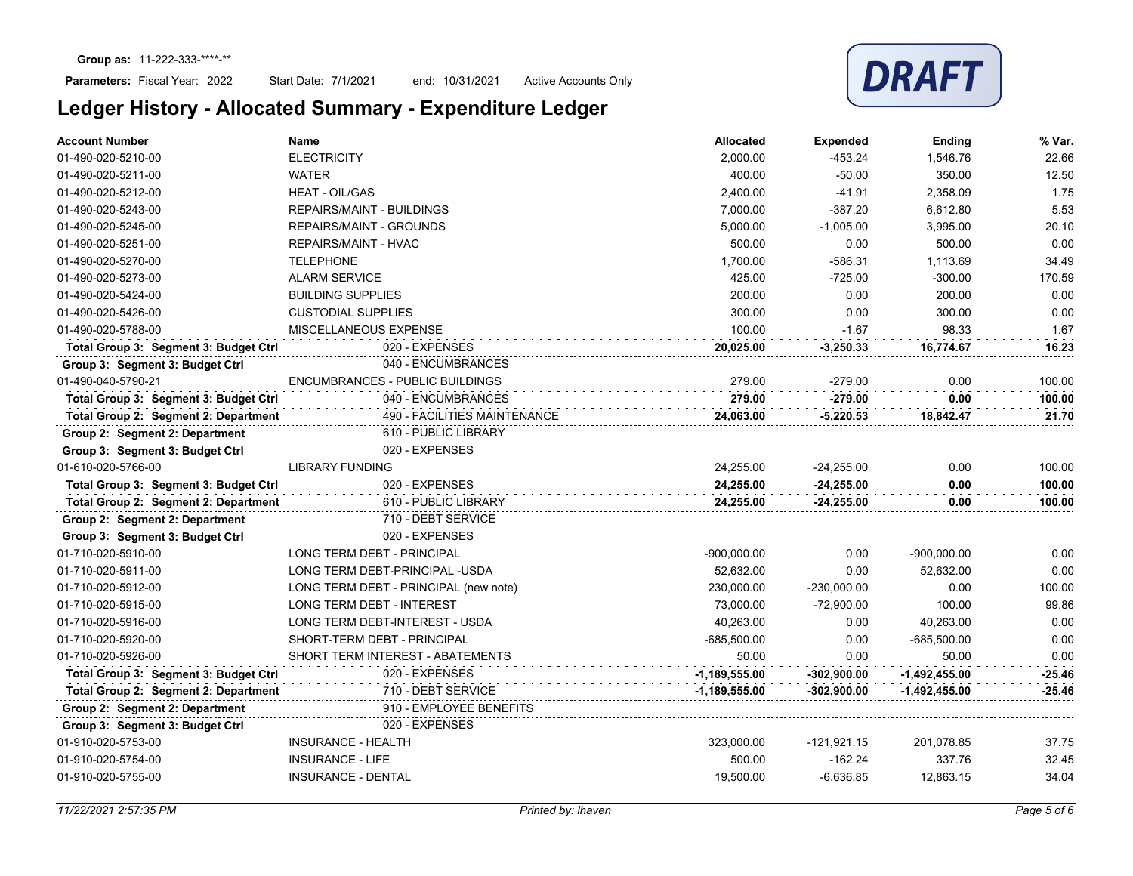### Parameters: Fiscal Year: 2022

Start Date: 7/1/2021 end: 10/31/2021 Active Accounts Only

| Account Number                        | Name                                  | Allocated       | <b>Expended</b> | <b>Ending</b>   | % Var.   |
|---------------------------------------|---------------------------------------|-----------------|-----------------|-----------------|----------|
| 01-490-020-5210-00                    | <b>ELECTRICITY</b>                    | 2,000.00        | $-453.24$       | 1,546.76        | 22.66    |
| 01-490-020-5211-00                    | <b>WATER</b>                          | 400.00          | $-50.00$        | 350.00          | 12.50    |
| 01-490-020-5212-00                    | <b>HEAT - OIL/GAS</b>                 | 2,400.00        | $-41.91$        | 2,358.09        | 1.75     |
| 01-490-020-5243-00                    | <b>REPAIRS/MAINT - BUILDINGS</b>      | 7,000.00        | $-387.20$       | 6,612.80        | 5.53     |
| 01-490-020-5245-00                    | <b>REPAIRS/MAINT - GROUNDS</b>        | 5,000.00        | $-1,005.00$     | 3,995.00        | 20.10    |
| 01-490-020-5251-00                    | REPAIRS/MAINT - HVAC                  | 500.00          | 0.00            | 500.00          | 0.00     |
| 01-490-020-5270-00                    | <b>TELEPHONE</b>                      | 1,700.00        | $-586.31$       | 1,113.69        | 34.49    |
| 01-490-020-5273-00                    | <b>ALARM SERVICE</b>                  | 425.00          | $-725.00$       | $-300.00$       | 170.59   |
| 01-490-020-5424-00                    | <b>BUILDING SUPPLIES</b>              | 200.00          | 0.00            | 200.00          | 0.00     |
| 01-490-020-5426-00                    | <b>CUSTODIAL SUPPLIES</b>             | 300.00          | 0.00            | 300.00          | 0.00     |
| 01-490-020-5788-00                    | MISCELLANEOUS EXPENSE                 | 100.00          | $-1.67$         | 98.33           | 1.67     |
| Total Group 3: Segment 3: Budget Ctrl | 020 - EXPENSES                        | 20,025.00       | $-3,250.33$     | 16,774.67       | 16.23    |
| Group 3: Segment 3: Budget Ctrl       | 040 - ENCUMBRANCES                    |                 |                 |                 |          |
| 01-490-040-5790-21                    | ENCUMBRANCES - PUBLIC BUILDINGS       | 279.00          | $-279.00$       | 0.00            | 100.00   |
| Total Group 3: Segment 3: Budget Ctrl | 040 - ENCUMBRANCES                    | 279.00          | $-279.00$       | 0.00            | 100.00   |
| Total Group 2: Segment 2: Department  | 490 - FACILITIES MAINTENANCE          | 24,063.00       | $-5,220.53$     | 18,842.47       | 21.70    |
| Group 2: Segment 2: Department        | 610 - PUBLIC LIBRARY                  |                 |                 |                 |          |
| Group 3: Segment 3: Budget Ctrl       | 020 - EXPENSES                        |                 |                 |                 |          |
| 01-610-020-5766-00                    | <b>LIBRARY FUNDING</b>                | 24,255.00       | $-24,255.00$    | 0.00            | 100.00   |
| Total Group 3: Segment 3: Budget Ctrl | 020 - EXPENSES                        | 24,255.00       | $-24,255.00$    | 0.00            | 100.00   |
| Total Group 2: Segment 2: Department  | 610 - PUBLIC LIBRARY                  | 24,255.00       | $-24,255.00$    | 0.00            | 100.00   |
| Group 2: Segment 2: Department        | 710 - DEBT SERVICE                    |                 |                 |                 |          |
| Group 3: Segment 3: Budget Ctrl       | 020 - EXPENSES                        |                 |                 |                 |          |
| 01-710-020-5910-00                    | LONG TERM DEBT - PRINCIPAL            | $-900,000.00$   | 0.00            | $-900,000.00$   | 0.00     |
| 01-710-020-5911-00                    | LONG TERM DEBT-PRINCIPAL -USDA        | 52,632.00       | 0.00            | 52,632.00       | 0.00     |
| 01-710-020-5912-00                    | LONG TERM DEBT - PRINCIPAL (new note) | 230,000.00      | $-230,000.00$   | 0.00            | 100.00   |
| 01-710-020-5915-00                    | <b>LONG TERM DEBT - INTEREST</b>      | 73,000.00       | $-72,900.00$    | 100.00          | 99.86    |
| 01-710-020-5916-00                    | LONG TERM DEBT-INTEREST - USDA        | 40,263.00       | 0.00            | 40,263.00       | 0.00     |
| 01-710-020-5920-00                    | SHORT-TERM DEBT - PRINCIPAL           | $-685,500.00$   | 0.00            | $-685,500.00$   | 0.00     |
| 01-710-020-5926-00                    | SHORT TERM INTEREST - ABATEMENTS      | 50.00           | 0.00            | 50.00           | 0.00     |
| Total Group 3: Segment 3: Budget Ctrl | 020 - EXPENSES                        | $-1,189,555.00$ | $-302,900.00$   | $-1,492,455.00$ | $-25.46$ |
| Total Group 2: Segment 2: Department  | 710 - DEBT SERVICE                    | $-1,189,555.00$ | $-302,900.00$   | -1,492,455.00   | $-25.46$ |
| Group 2: Segment 2: Department        | 910 - EMPLOYEE BENEFITS               |                 |                 |                 |          |
| Group 3: Segment 3: Budget Ctrl       | 020 - EXPENSES                        |                 |                 |                 |          |
| 01-910-020-5753-00                    | <b>INSURANCE - HEALTH</b>             | 323,000.00      | $-121,921.15$   | 201,078.85      | 37.75    |
| 01-910-020-5754-00                    | <b>INSURANCE - LIFE</b>               | 500.00          | $-162.24$       | 337.76          | 32.45    |
| 01-910-020-5755-00                    | <b>INSURANCE - DENTAL</b>             | 19,500.00       | $-6,636.85$     | 12,863.15       | 34.04    |
|                                       |                                       |                 |                 |                 |          |